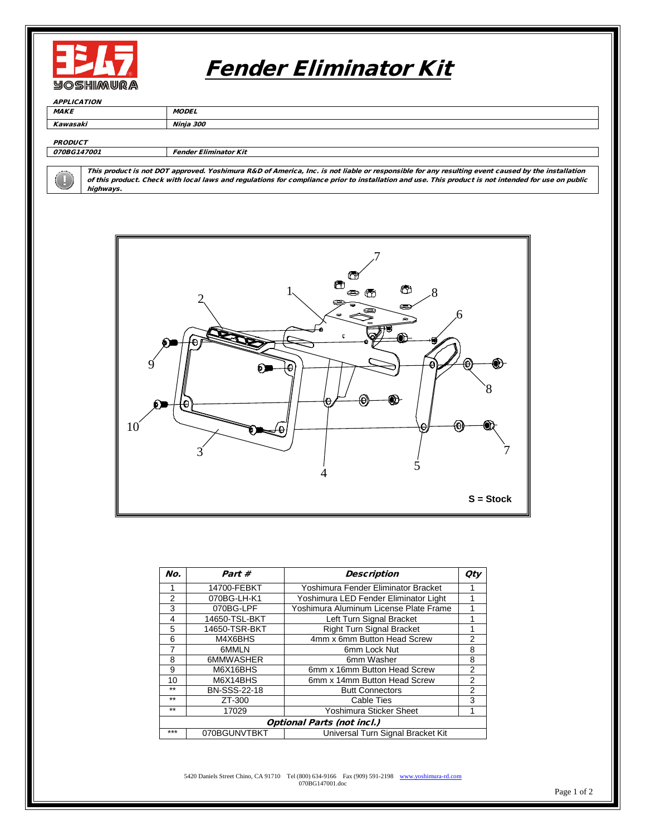

# Fender Eliminator Kit

**APPLICATION** MAKE MODEL Kawasaki Ninja 300

#### **PRODUCT**

070BG147001 Fender Eliminator Kit

This product is not DOT approved. Yoshimura R&D of America, Inc. is not liable or responsible for any resulting event caused by the installation of this product. Check with local laws and regulations for compliance prior to installation and use. This product is not intended for use on public highways.



| No.                               | Part #              | <b>Description</b>                     | <b>Qty</b>     |
|-----------------------------------|---------------------|----------------------------------------|----------------|
|                                   | 14700-FEBKT         | Yoshimura Fender Eliminator Bracket    |                |
| 2                                 | 070BG-LH-K1         | Yoshimura LED Fender Eliminator Light  |                |
| 3                                 | 070BG-LPF           | Yoshimura Aluminum License Plate Frame |                |
| 4                                 | 14650-TSL-BKT       | Left Turn Signal Bracket               | 1              |
| 5                                 | 14650-TSR-BKT       | <b>Right Turn Signal Bracket</b>       |                |
| 6                                 | M4X6BHS             | 4mm x 6mm Button Head Screw            | 2              |
| 7                                 | 6MMLN               | 6mm Lock Nut                           | 8              |
| 8                                 | 6MMWASHER           | 6mm Washer                             | 8              |
| 9                                 | M6X16BHS            | 6mm x 16mm Button Head Screw           | $\overline{2}$ |
| 10                                | M6X14BHS            | 6mm x 14mm Button Head Screw           | $\overline{2}$ |
| $**$                              | <b>BN-SSS-22-18</b> | <b>Butt Connectors</b>                 | $\overline{2}$ |
| $**$                              | ZT-300              | Cable Ties                             | 3              |
| $***$                             | 17029               | Yoshimura Sticker Sheet                | 1              |
| <b>Optional Parts (not incl.)</b> |                     |                                        |                |
| ***                               | 070BGUNVTBKT        | Universal Turn Signal Bracket Kit      |                |

5420 Daniels Street Chino, CA 91710 Tel (800) 634-9166 Fax (909) 591-2198 [www.yoshimura-rd.com](http://www.yoshimura-rd.com/) 070BG147001.doc